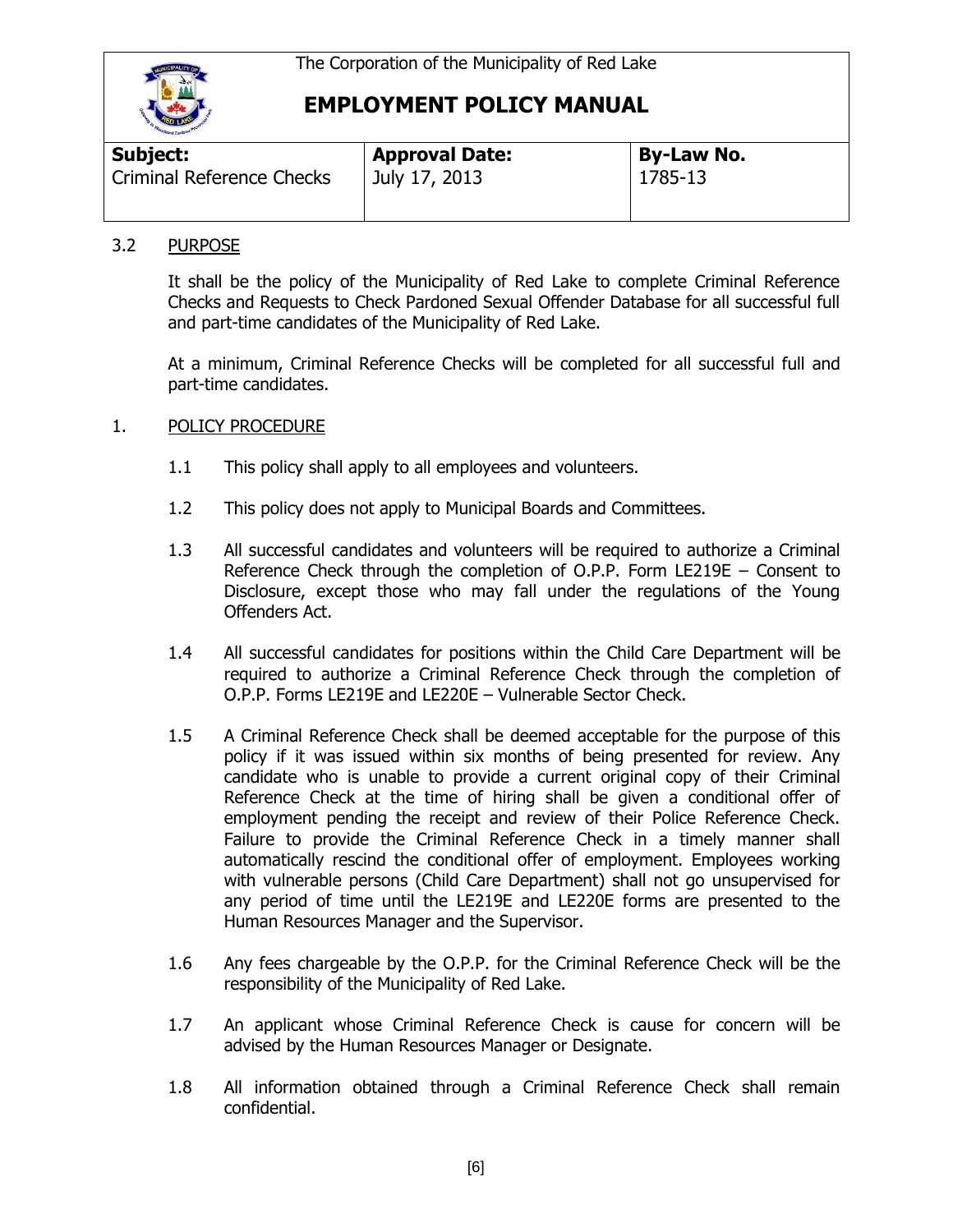

# **EMPLOYMENT POLICY MANUAL**

| <b>THE REAL PROPERTY AND INCOME.</b> |                       |                   |  |  |
|--------------------------------------|-----------------------|-------------------|--|--|
| <b>Subject:</b>                      | <b>Approval Date:</b> | <b>By-Law No.</b> |  |  |
| <b>Criminal Reference Checks</b>     | July 17, 2013         | 1785-13           |  |  |

### 3.2 PURPOSE

It shall be the policy of the Municipality of Red Lake to complete Criminal Reference Checks and Requests to Check Pardoned Sexual Offender Database for all successful full and part-time candidates of the Municipality of Red Lake.

At a minimum, Criminal Reference Checks will be completed for all successful full and part-time candidates.

### 1. POLICY PROCEDURE

- 1.1 This policy shall apply to all employees and volunteers.
- 1.2 This policy does not apply to Municipal Boards and Committees.
- 1.3 All successful candidates and volunteers will be required to authorize a Criminal Reference Check through the completion of O.P.P. Form LE219E – Consent to Disclosure, except those who may fall under the regulations of the Young Offenders Act.
- 1.4 All successful candidates for positions within the Child Care Department will be required to authorize a Criminal Reference Check through the completion of O.P.P. Forms LE219E and LE220E – Vulnerable Sector Check.
- 1.5 A Criminal Reference Check shall be deemed acceptable for the purpose of this policy if it was issued within six months of being presented for review. Any candidate who is unable to provide a current original copy of their Criminal Reference Check at the time of hiring shall be given a conditional offer of employment pending the receipt and review of their Police Reference Check. Failure to provide the Criminal Reference Check in a timely manner shall automatically rescind the conditional offer of employment. Employees working with vulnerable persons (Child Care Department) shall not go unsupervised for any period of time until the LE219E and LE220E forms are presented to the Human Resources Manager and the Supervisor.
- 1.6 Any fees chargeable by the O.P.P. for the Criminal Reference Check will be the responsibility of the Municipality of Red Lake.
- 1.7 An applicant whose Criminal Reference Check is cause for concern will be advised by the Human Resources Manager or Designate.
- 1.8 All information obtained through a Criminal Reference Check shall remain confidential.